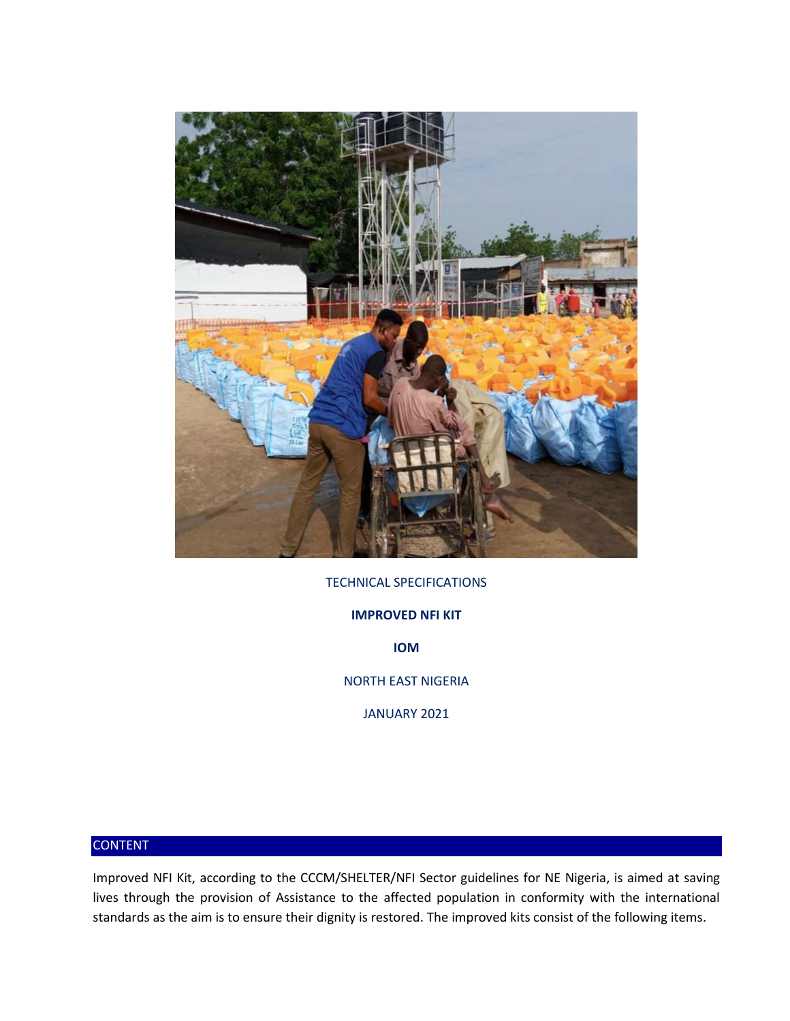

## TECHNICAL SPECIFICATIONS

**IMPROVED NFI KIT** 

**IOM** 

NORTH EAST NIGERIA

JANUARY 2021

## CONTENT

Improved NFI Kit, according to the CCCM/SHELTER/NFI Sector guidelines for NE Nigeria, is aimed at saving lives through the provision of Assistance to the affected population in conformity with the international standards as the aim is to ensure their dignity is restored. The improved kits consist of the following items.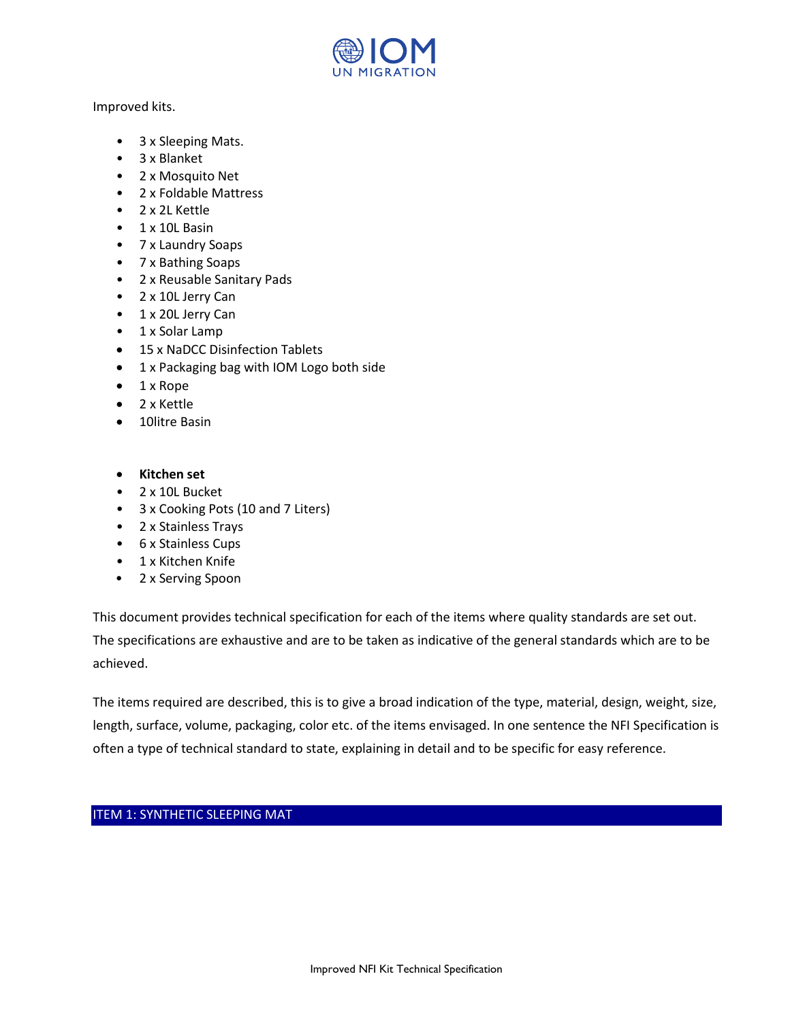

Improved kits.

- 3 x Sleeping Mats.
- 3 x Blanket
- 2 x Mosquito Net
- 2 x Foldable Mattress
- 2 x 2L Kettle
- 1 x 10L Basin
- 7 x Laundry Soaps
- 7 x Bathing Soaps
- 2 x Reusable Sanitary Pads
- 2 x 10L Jerry Can
- 1 x 20L Jerry Can
- 1 x Solar Lamp
- 15 x NaDCC Disinfection Tablets
- 1 x Packaging bag with IOM Logo both side
- 1 x Rope
- 2 x Kettle
- 10litre Basin
- **Kitchen set**
- 2 x 10L Bucket
- 3 x Cooking Pots (10 and 7 Liters)
- 2 x Stainless Trays
- 6 x Stainless Cups
- 1 x Kitchen Knife
- 2 x Serving Spoon

This document provides technical specification for each of the items where quality standards are set out. The specifications are exhaustive and are to be taken as indicative of the general standards which are to be achieved.

The items required are described, this is to give a broad indication of the type, material, design, weight, size, length, surface, volume, packaging, color etc. of the items envisaged. In one sentence the NFI Specification is often a type of technical standard to state, explaining in detail and to be specific for easy reference.

## ITEM 1: SYNTHETIC SLEEPING MAT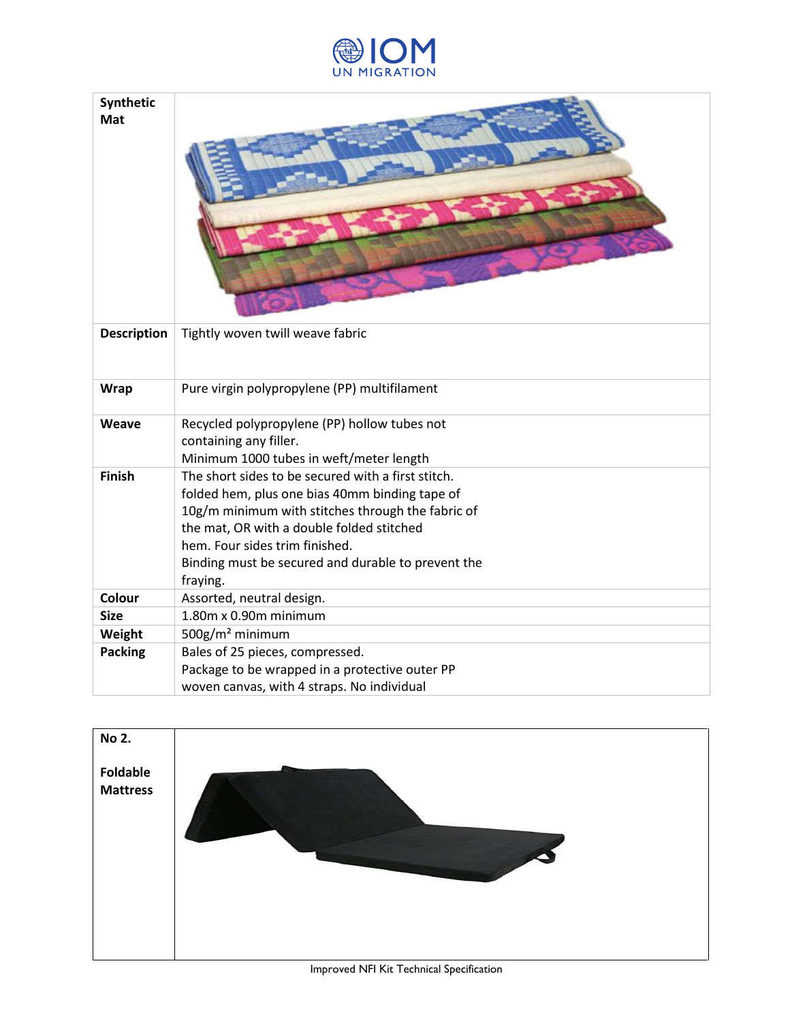

| Synthetic<br>Mat   |                                                                                                                                                                                                                                                                                                            |
|--------------------|------------------------------------------------------------------------------------------------------------------------------------------------------------------------------------------------------------------------------------------------------------------------------------------------------------|
| <b>Description</b> | Tightly woven twill weave fabric                                                                                                                                                                                                                                                                           |
| <b>Wrap</b>        | Pure virgin polypropylene (PP) multifilament                                                                                                                                                                                                                                                               |
| Weave              | Recycled polypropylene (PP) hollow tubes not<br>containing any filler.<br>Minimum 1000 tubes in weft/meter length                                                                                                                                                                                          |
| <b>Finish</b>      | The short sides to be secured with a first stitch.<br>folded hem, plus one bias 40mm binding tape of<br>10g/m minimum with stitches through the fabric of<br>the mat, OR with a double folded stitched<br>hem. Four sides trim finished.<br>Binding must be secured and durable to prevent the<br>fraying. |
| Colour             | Assorted, neutral design.                                                                                                                                                                                                                                                                                  |
| <b>Size</b>        | $1.80m \times 0.90m$ minimum                                                                                                                                                                                                                                                                               |
| Weight             | 500g/m <sup>2</sup> minimum                                                                                                                                                                                                                                                                                |
| <b>Packing</b>     | Bales of 25 pieces, compressed.                                                                                                                                                                                                                                                                            |
|                    | Package to be wrapped in a protective outer PP                                                                                                                                                                                                                                                             |
|                    | woven canvas, with 4 straps. No individual                                                                                                                                                                                                                                                                 |

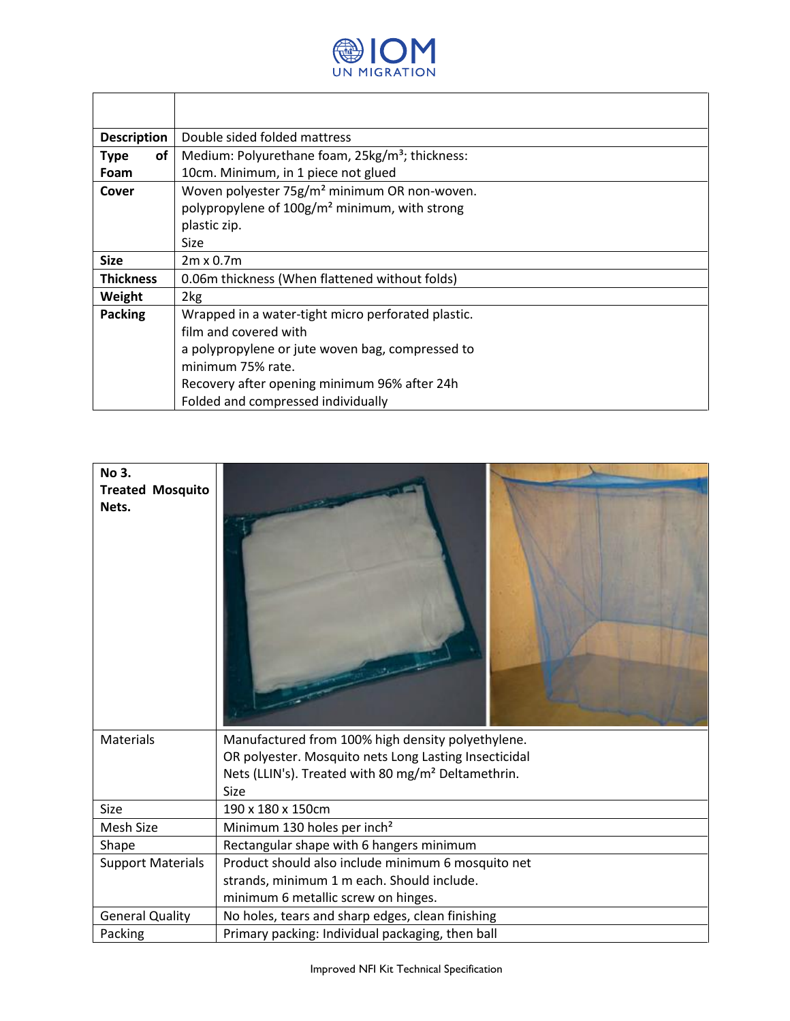

٦

Г

T

| <b>Description</b> | Double sided folded mattress                                |  |
|--------------------|-------------------------------------------------------------|--|
| of<br><b>Type</b>  | Medium: Polyurethane foam, 25kg/m <sup>3</sup> ; thickness: |  |
| Foam               | 10cm. Minimum, in 1 piece not glued                         |  |
| Cover              | Woven polyester 75g/m <sup>2</sup> minimum OR non-woven.    |  |
|                    | polypropylene of 100g/m <sup>2</sup> minimum, with strong   |  |
|                    | plastic zip.                                                |  |
|                    | Size                                                        |  |
| <b>Size</b>        | $2m \times 0.7m$                                            |  |
| <b>Thickness</b>   | 0.06m thickness (When flattened without folds)              |  |
| Weight             | 2kg                                                         |  |
| <b>Packing</b>     | Wrapped in a water-tight micro perforated plastic.          |  |
|                    | film and covered with                                       |  |
|                    | a polypropylene or jute woven bag, compressed to            |  |
|                    | minimum 75% rate.                                           |  |
|                    | Recovery after opening minimum 96% after 24h                |  |
|                    | Folded and compressed individually                          |  |

| No 3.<br><b>Treated Mosquito</b><br>Nets. |                                                                        |
|-------------------------------------------|------------------------------------------------------------------------|
| <b>Materials</b>                          | Manufactured from 100% high density polyethylene.                      |
|                                           | OR polyester. Mosquito nets Long Lasting Insecticidal                  |
|                                           | Nets (LLIN's). Treated with 80 mg/m <sup>2</sup> Deltamethrin.<br>Size |
| Size                                      | 190 x 180 x 150cm                                                      |
| Mesh Size                                 | Minimum 130 holes per inch <sup>2</sup>                                |
| Shape                                     | Rectangular shape with 6 hangers minimum                               |
| <b>Support Materials</b>                  | Product should also include minimum 6 mosquito net                     |
|                                           | strands, minimum 1 m each. Should include.                             |
|                                           | minimum 6 metallic screw on hinges.                                    |
| <b>General Quality</b>                    | No holes, tears and sharp edges, clean finishing                       |
| Packing                                   | Primary packing: Individual packaging, then ball                       |

Improved NFI Kit Technical Specification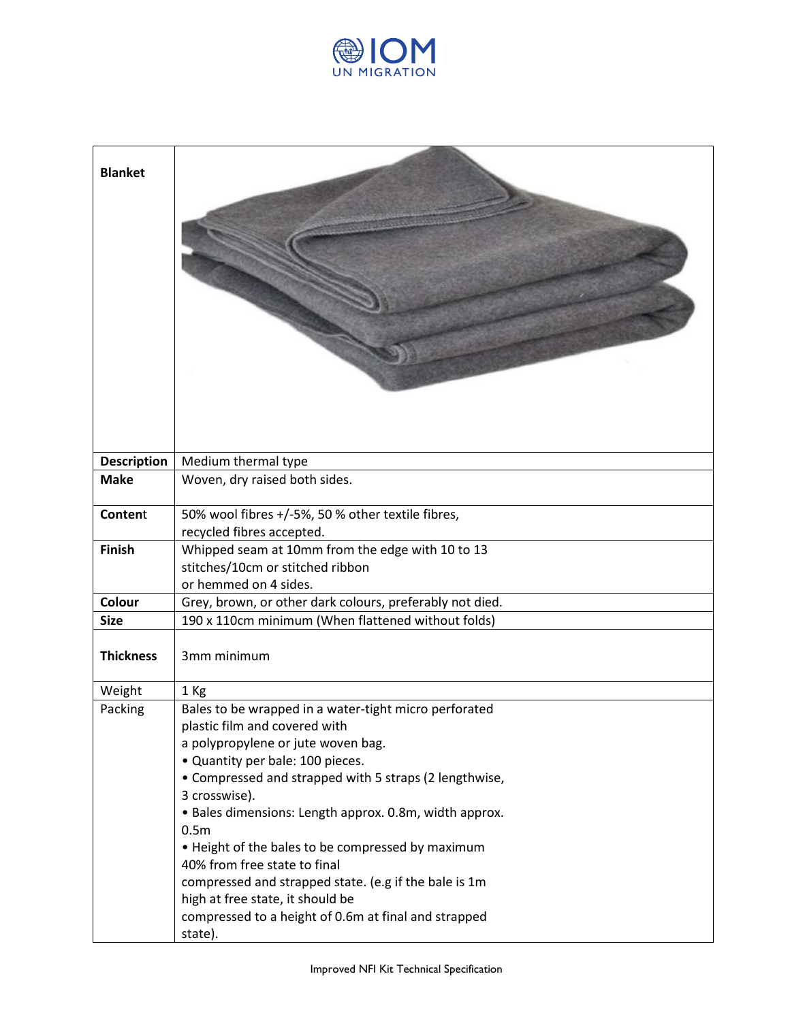

| <b>Blanket</b>     |                                                                                                               |
|--------------------|---------------------------------------------------------------------------------------------------------------|
| <b>Description</b> | Medium thermal type                                                                                           |
| <b>Make</b>        | Woven, dry raised both sides.                                                                                 |
| Content            | 50% wool fibres +/-5%, 50 % other textile fibres,<br>recycled fibres accepted.                                |
| <b>Finish</b>      | Whipped seam at 10mm from the edge with 10 to 13<br>stitches/10cm or stitched ribbon<br>or hemmed on 4 sides. |
| Colour             | Grey, brown, or other dark colours, preferably not died.                                                      |
| <b>Size</b>        | 190 x 110cm minimum (When flattened without folds)                                                            |
| <b>Thickness</b>   | 3mm minimum                                                                                                   |
| Weight             | 1 Kg                                                                                                          |
| Packing            | Bales to be wrapped in a water-tight micro perforated                                                         |
|                    | plastic film and covered with                                                                                 |
|                    | a polypropylene or jute woven bag.                                                                            |
|                    | • Quantity per bale: 100 pieces.                                                                              |
|                    | • Compressed and strapped with 5 straps (2 lengthwise,                                                        |
|                    | 3 crosswise).<br>• Bales dimensions: Length approx. 0.8m, width approx.                                       |
|                    | 0.5 <sub>m</sub>                                                                                              |
|                    | . Height of the bales to be compressed by maximum                                                             |
|                    | 40% from free state to final                                                                                  |
|                    | compressed and strapped state. (e.g if the bale is 1m                                                         |
|                    | high at free state, it should be                                                                              |
|                    | compressed to a height of 0.6m at final and strapped                                                          |
|                    | state).                                                                                                       |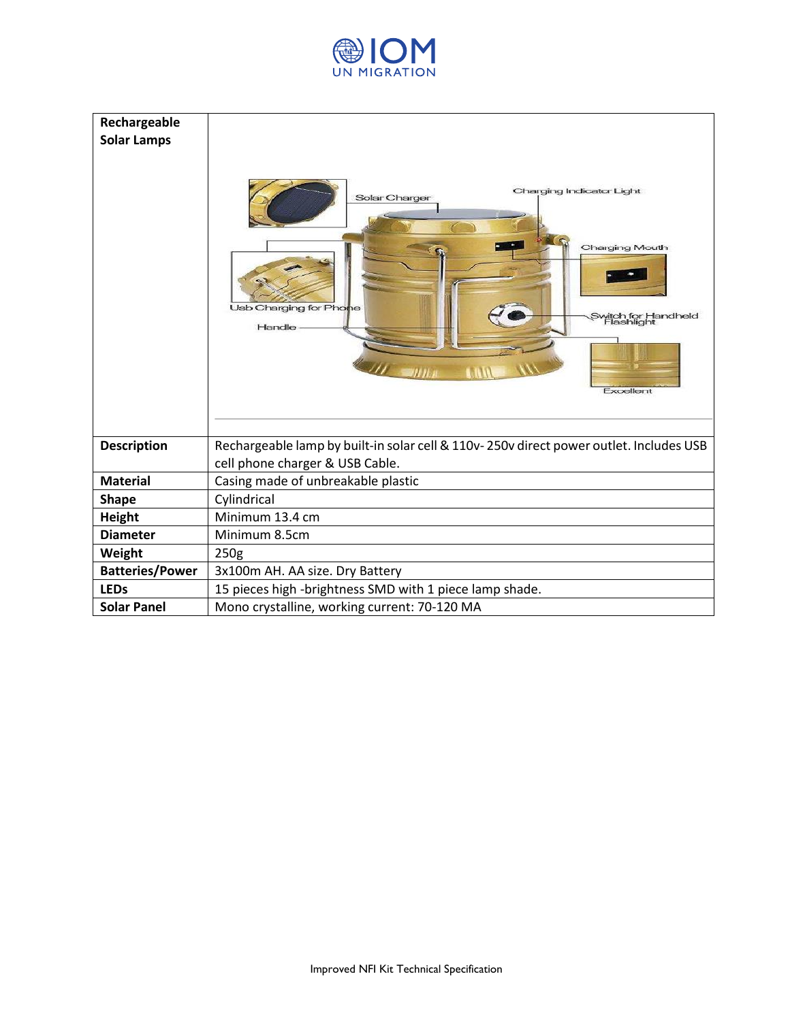

| Rechargeable<br><b>Solar Lamps</b> | Charging Indicator Light<br>Solar Charger<br>Charging Mouth<br>Usb Charging for Phone<br>Switch for Handheld<br>Flashlight<br>Handle<br>Excellent |
|------------------------------------|---------------------------------------------------------------------------------------------------------------------------------------------------|
| <b>Description</b>                 | Rechargeable lamp by built-in solar cell & 110v-250v direct power outlet. Includes USB<br>cell phone charger & USB Cable.                         |
| <b>Material</b>                    | Casing made of unbreakable plastic                                                                                                                |
| <b>Shape</b>                       | Cylindrical                                                                                                                                       |
| <b>Height</b>                      | Minimum 13.4 cm                                                                                                                                   |
| <b>Diameter</b>                    | Minimum 8.5cm                                                                                                                                     |
| Weight                             | 250g                                                                                                                                              |
| <b>Batteries/Power</b>             | 3x100m AH. AA size. Dry Battery                                                                                                                   |
| <b>LEDs</b>                        | 15 pieces high -brightness SMD with 1 piece lamp shade.                                                                                           |
| <b>Solar Panel</b>                 | Mono crystalline, working current: 70-120 MA                                                                                                      |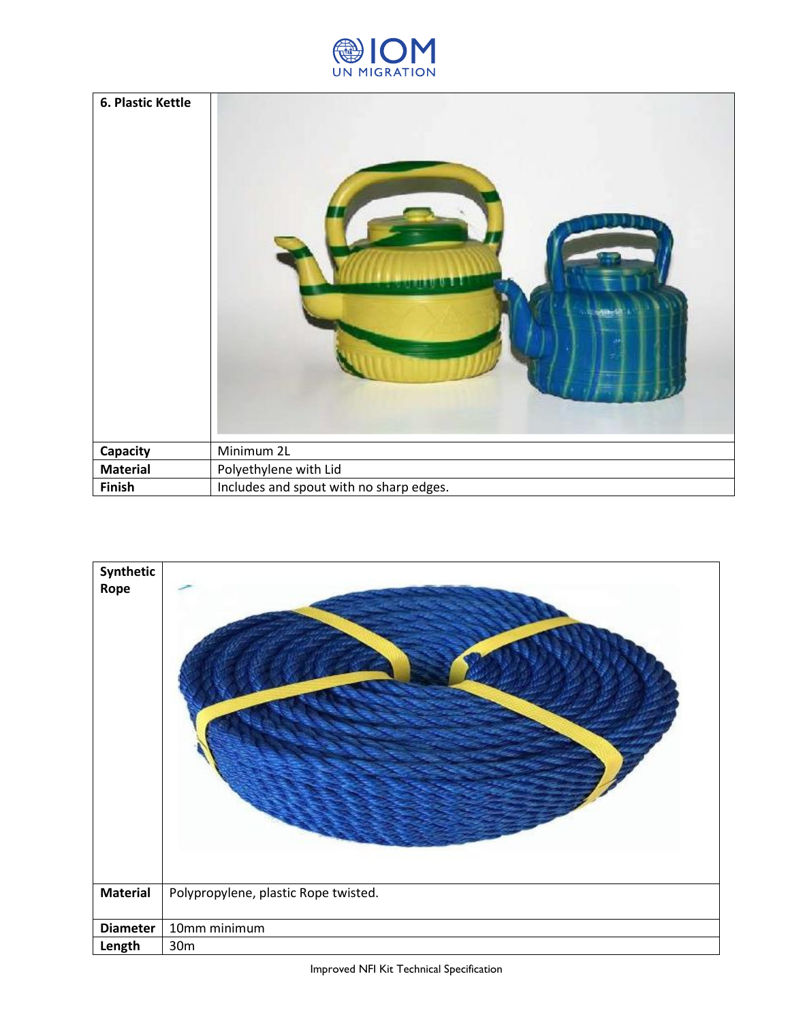

| 6. Plastic Kettle |                                         |
|-------------------|-----------------------------------------|
| Capacity          | Minimum 2L                              |
| <b>Material</b>   | Polyethylene with Lid                   |
| <b>Finish</b>     | Includes and spout with no sharp edges. |

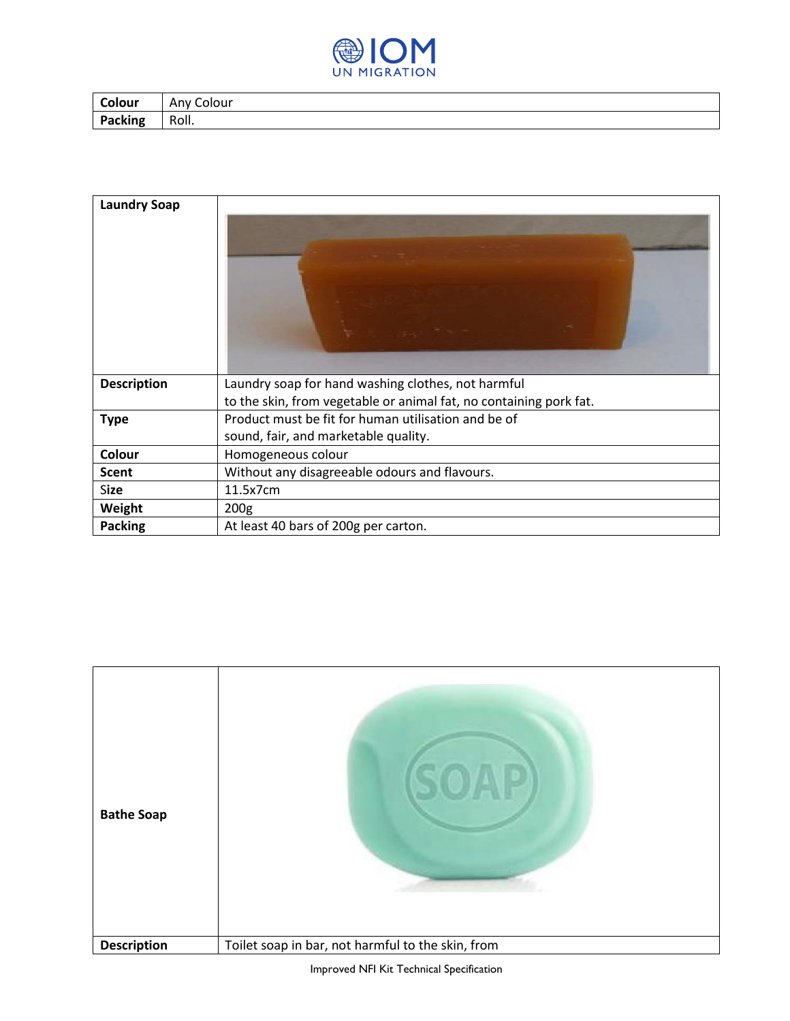

| Colour         | <sup>,</sup> Colour<br>Any |
|----------------|----------------------------|
| <b>Packing</b> | Roll.                      |

| <b>Laundry Soap</b> |                                                                                                                          |
|---------------------|--------------------------------------------------------------------------------------------------------------------------|
| <b>Description</b>  | Laundry soap for hand washing clothes, not harmful<br>to the skin, from vegetable or animal fat, no containing pork fat. |
| <b>Type</b>         | Product must be fit for human utilisation and be of                                                                      |
|                     | sound, fair, and marketable quality.                                                                                     |
| Colour              | Homogeneous colour                                                                                                       |
| <b>Scent</b>        | Without any disagreeable odours and flavours.                                                                            |
| Size                | 11.5x7cm                                                                                                                 |
| Weight              | 200 <sub>g</sub>                                                                                                         |
| <b>Packing</b>      | At least 40 bars of 200g per carton.                                                                                     |

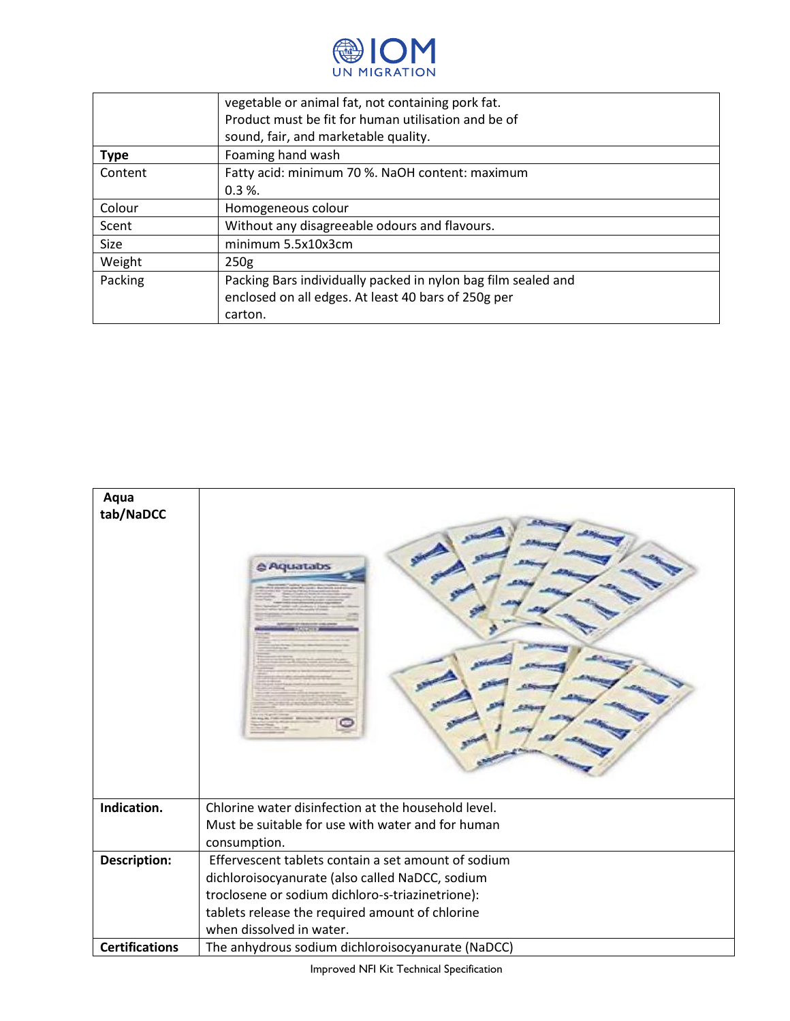

|             | vegetable or animal fat, not containing pork fat.             |
|-------------|---------------------------------------------------------------|
|             | Product must be fit for human utilisation and be of           |
|             | sound, fair, and marketable quality.                          |
| <b>Type</b> | Foaming hand wash                                             |
| Content     | Fatty acid: minimum 70 %. NaOH content: maximum               |
|             | $0.3 \%$ .                                                    |
| Colour      | Homogeneous colour                                            |
| Scent       | Without any disagreeable odours and flavours.                 |
| Size        | minimum 5.5x10x3cm                                            |
| Weight      | 250 <sub>g</sub>                                              |
| Packing     | Packing Bars individually packed in nylon bag film sealed and |
|             | enclosed on all edges. At least 40 bars of 250g per           |
|             | carton.                                                       |



Improved NFI Kit Technical Specification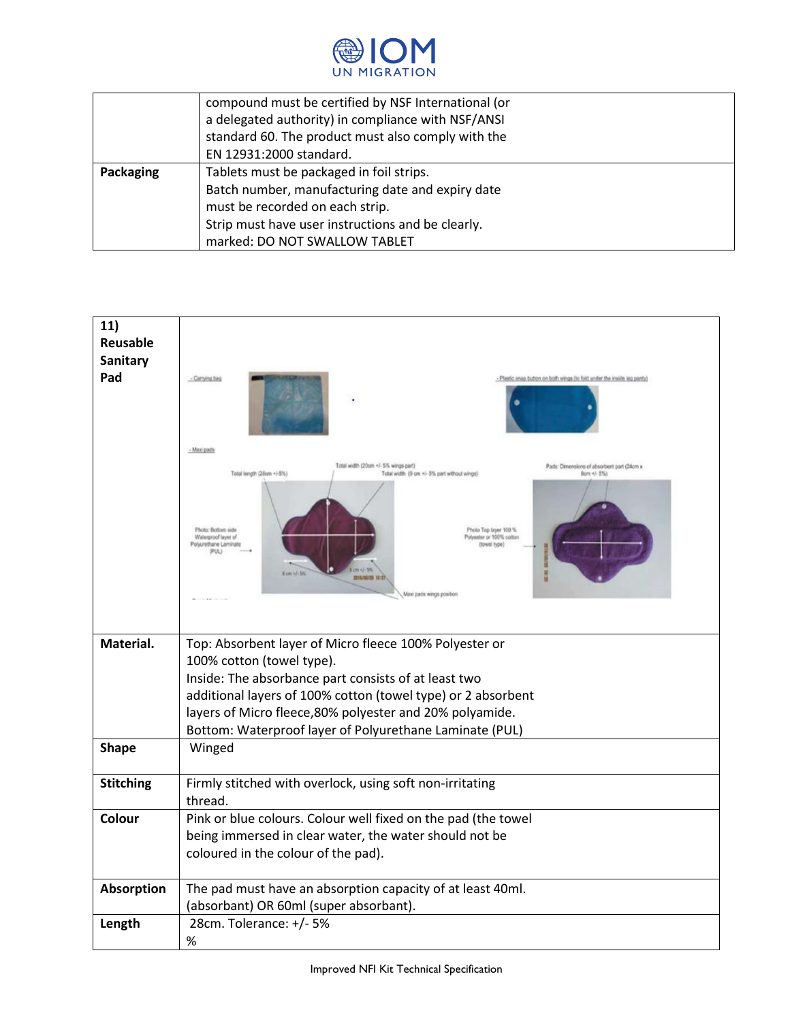

|           | compound must be certified by NSF International (or |
|-----------|-----------------------------------------------------|
|           | a delegated authority) in compliance with NSF/ANSI  |
|           | standard 60. The product must also comply with the  |
|           | EN 12931:2000 standard.                             |
| Packaging | Tablets must be packaged in foil strips.            |
|           | Batch number, manufacturing date and expiry date    |
|           | must be recorded on each strip.                     |
|           | Strip must have user instructions and be clearly.   |
|           | marked: DO NOT SWALLOW TABLET                       |

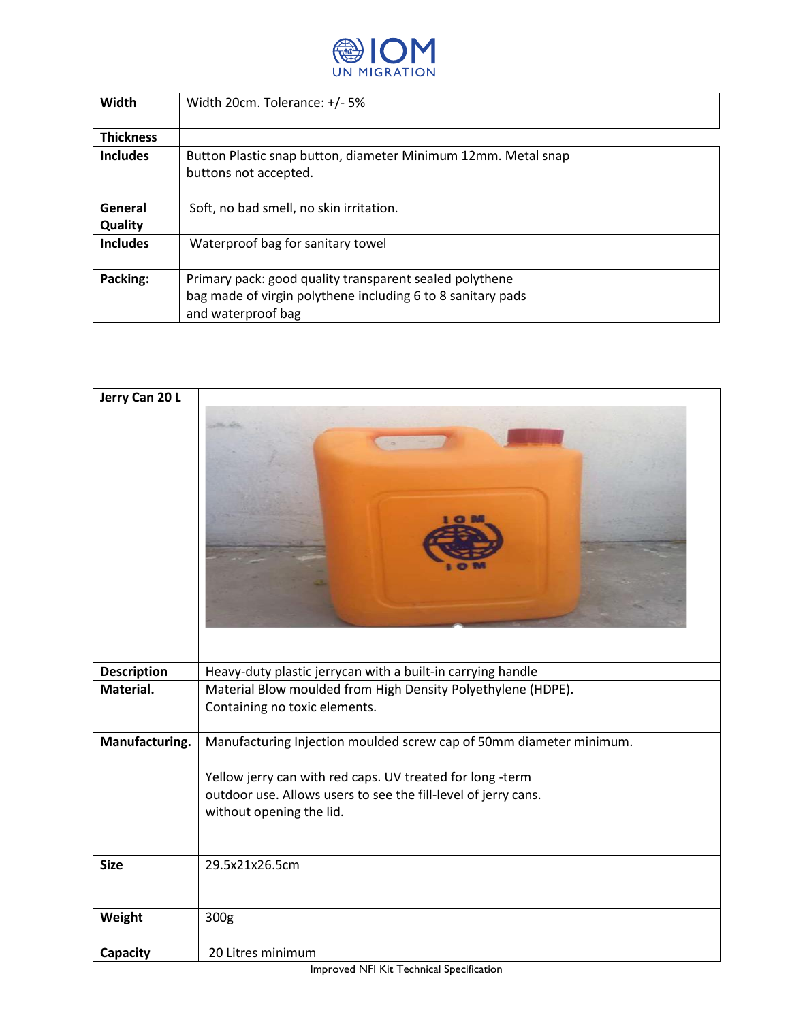

| Width            | Width 20cm. Tolerance: +/- 5%                                 |
|------------------|---------------------------------------------------------------|
|                  |                                                               |
| <b>Thickness</b> |                                                               |
| <b>Includes</b>  | Button Plastic snap button, diameter Minimum 12mm. Metal snap |
|                  | buttons not accepted.                                         |
|                  |                                                               |
| General          | Soft, no bad smell, no skin irritation.                       |
| <b>Quality</b>   |                                                               |
| <b>Includes</b>  | Waterproof bag for sanitary towel                             |
|                  |                                                               |
| Packing:         | Primary pack: good quality transparent sealed polythene       |
|                  | bag made of virgin polythene including 6 to 8 sanitary pads   |
|                  | and waterproof bag                                            |

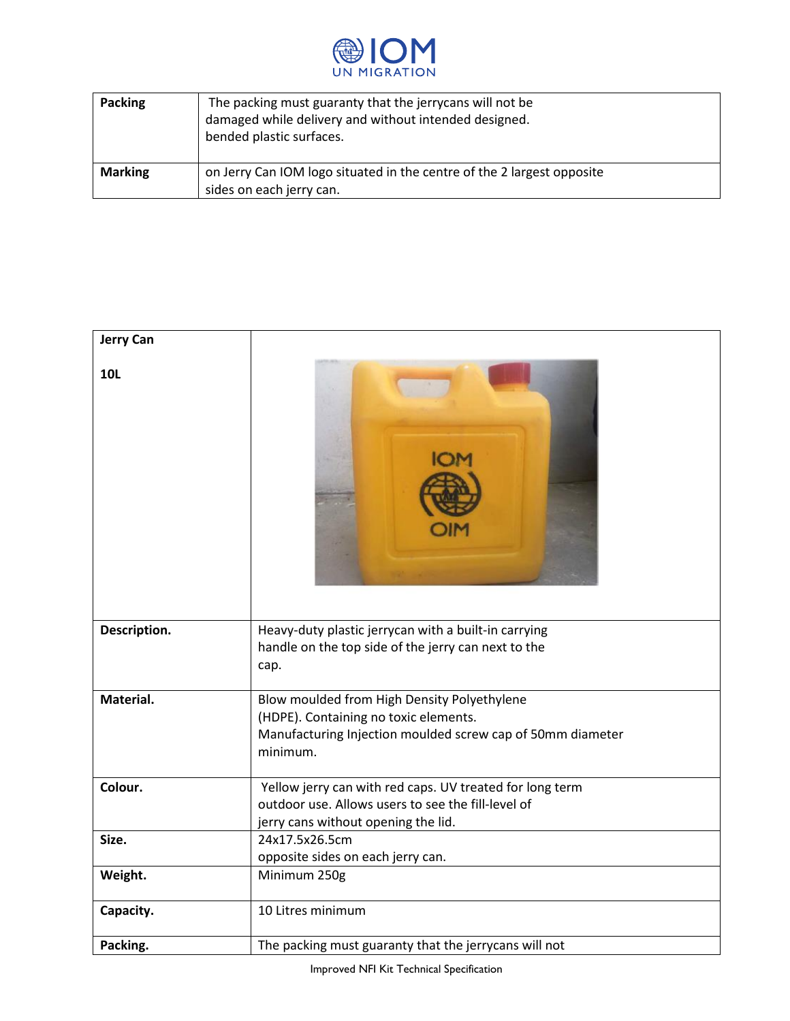

| <b>Packing</b> | The packing must guaranty that the jerry cans will not be<br>damaged while delivery and without intended designed.<br>bended plastic surfaces. |
|----------------|------------------------------------------------------------------------------------------------------------------------------------------------|
| <b>Marking</b> | on Jerry Can IOM logo situated in the centre of the 2 largest opposite<br>sides on each jerry can.                                             |

| <b>Jerry Can</b> |                                                                                                                                                                |
|------------------|----------------------------------------------------------------------------------------------------------------------------------------------------------------|
| <b>10L</b>       |                                                                                                                                                                |
| Description.     | Heavy-duty plastic jerrycan with a built-in carrying<br>handle on the top side of the jerry can next to the<br>cap.                                            |
| Material.        | Blow moulded from High Density Polyethylene<br>(HDPE). Containing no toxic elements.<br>Manufacturing Injection moulded screw cap of 50mm diameter<br>minimum. |
| Colour.          | Yellow jerry can with red caps. UV treated for long term<br>outdoor use. Allows users to see the fill-level of<br>jerry cans without opening the lid.          |
| Size.            | 24x17.5x26.5cm<br>opposite sides on each jerry can.                                                                                                            |
| Weight.          | Minimum 250g                                                                                                                                                   |
| Capacity.        | 10 Litres minimum                                                                                                                                              |
| Packing.         | The packing must guaranty that the jerrycans will not                                                                                                          |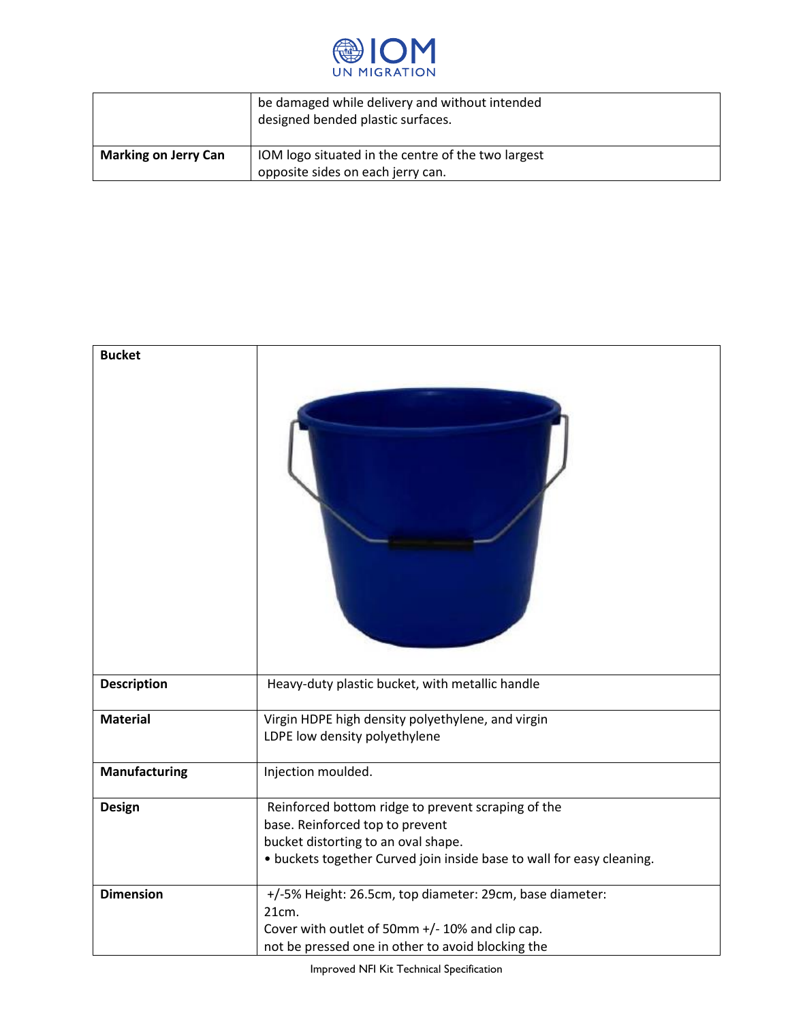

|                             | be damaged while delivery and without intended<br>designed bended plastic surfaces. |
|-----------------------------|-------------------------------------------------------------------------------------|
| <b>Marking on Jerry Can</b> | IOM logo situated in the centre of the two largest                                  |
|                             | opposite sides on each jerry can.                                                   |

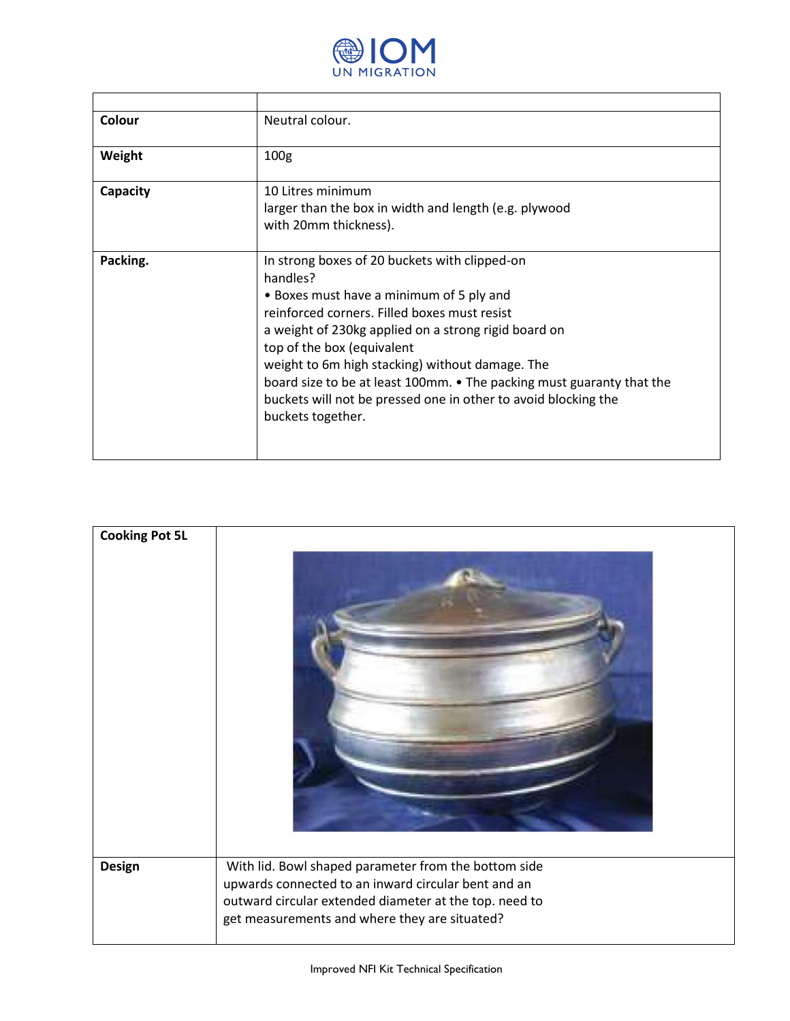

| Colour   | Neutral colour.                                                                                                                                                                                                                                                                                                                                                                                                                                                |
|----------|----------------------------------------------------------------------------------------------------------------------------------------------------------------------------------------------------------------------------------------------------------------------------------------------------------------------------------------------------------------------------------------------------------------------------------------------------------------|
| Weight   | 100 <sub>g</sub>                                                                                                                                                                                                                                                                                                                                                                                                                                               |
| Capacity | 10 Litres minimum<br>larger than the box in width and length (e.g. plywood<br>with 20mm thickness).                                                                                                                                                                                                                                                                                                                                                            |
| Packing. | In strong boxes of 20 buckets with clipped-on<br>handles?<br>• Boxes must have a minimum of 5 ply and<br>reinforced corners. Filled boxes must resist<br>a weight of 230kg applied on a strong rigid board on<br>top of the box (equivalent<br>weight to 6m high stacking) without damage. The<br>board size to be at least 100mm. • The packing must guaranty that the<br>buckets will not be pressed one in other to avoid blocking the<br>buckets together. |

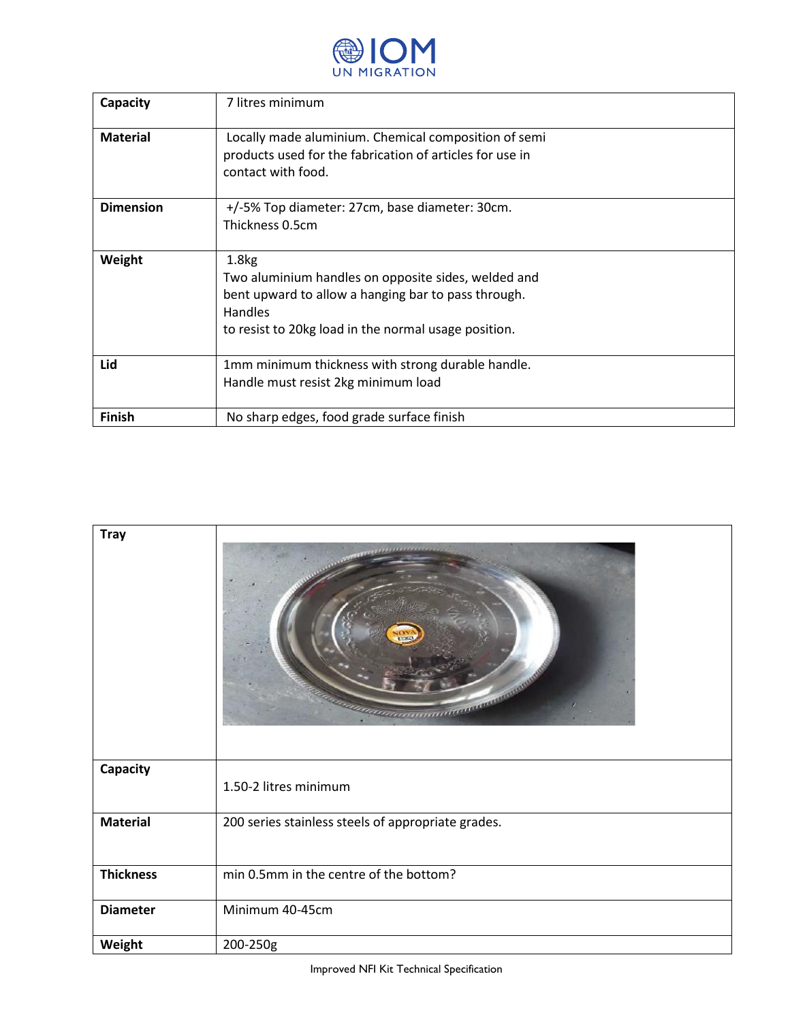

| Capacity         | 7 litres minimum                                                                                                                                                                                          |
|------------------|-----------------------------------------------------------------------------------------------------------------------------------------------------------------------------------------------------------|
| <b>Material</b>  | Locally made aluminium. Chemical composition of semi<br>products used for the fabrication of articles for use in<br>contact with food.                                                                    |
| <b>Dimension</b> | +/-5% Top diameter: 27cm, base diameter: 30cm.<br>Thickness 0.5cm                                                                                                                                         |
| Weight           | 1.8 <sub>kg</sub><br>Two aluminium handles on opposite sides, welded and<br>bent upward to allow a hanging bar to pass through.<br><b>Handles</b><br>to resist to 20kg load in the normal usage position. |
| Lid              | 1mm minimum thickness with strong durable handle.<br>Handle must resist 2kg minimum load                                                                                                                  |
| <b>Finish</b>    | No sharp edges, food grade surface finish                                                                                                                                                                 |

| <b>Tray</b>      | <b>CALLAGEREES</b><br>anamanan                     |
|------------------|----------------------------------------------------|
| Capacity         | 1.50-2 litres minimum                              |
| <b>Material</b>  | 200 series stainless steels of appropriate grades. |
| <b>Thickness</b> | min 0.5mm in the centre of the bottom?             |
| <b>Diameter</b>  | Minimum 40-45cm                                    |
| Weight           | 200-250g                                           |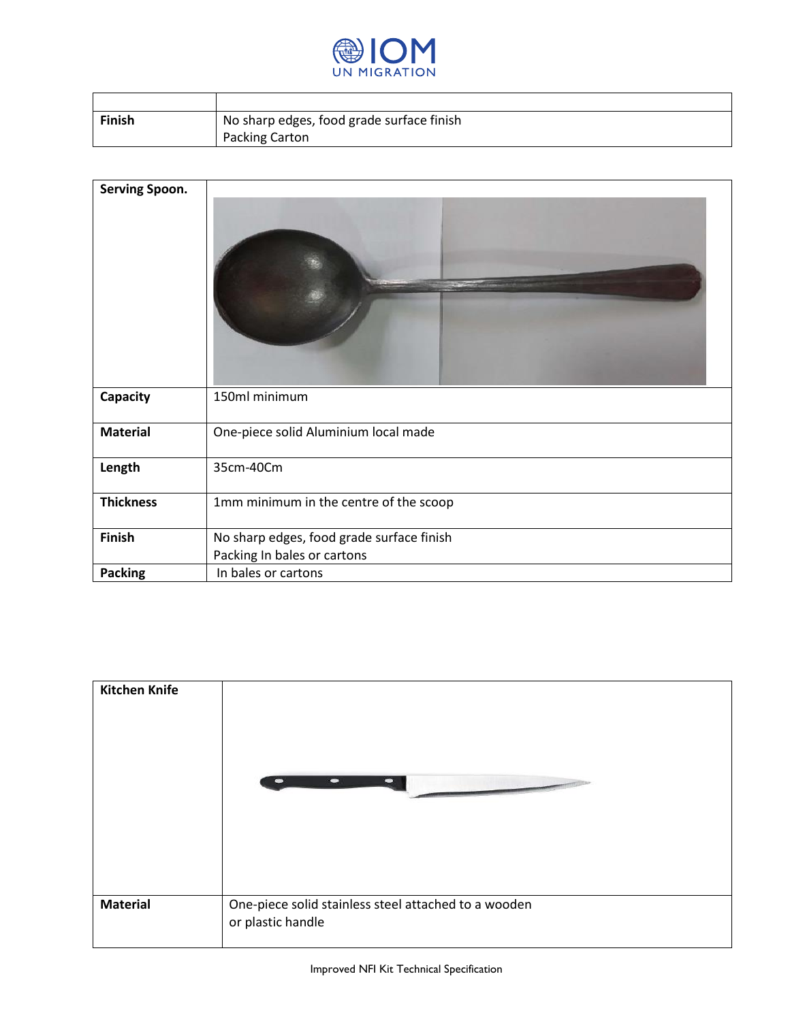

| Finish | No sharp edges, food grade surface finish |
|--------|-------------------------------------------|
|        | <b>Packing Carton</b>                     |

| Serving Spoon.   |                                           |
|------------------|-------------------------------------------|
| <b>Capacity</b>  | 150ml minimum                             |
| <b>Material</b>  | One-piece solid Aluminium local made      |
| Length           | 35cm-40Cm                                 |
| <b>Thickness</b> | 1mm minimum in the centre of the scoop    |
| Finish           | No sharp edges, food grade surface finish |
|                  | Packing In bales or cartons               |
| <b>Packing</b>   | In bales or cartons                       |

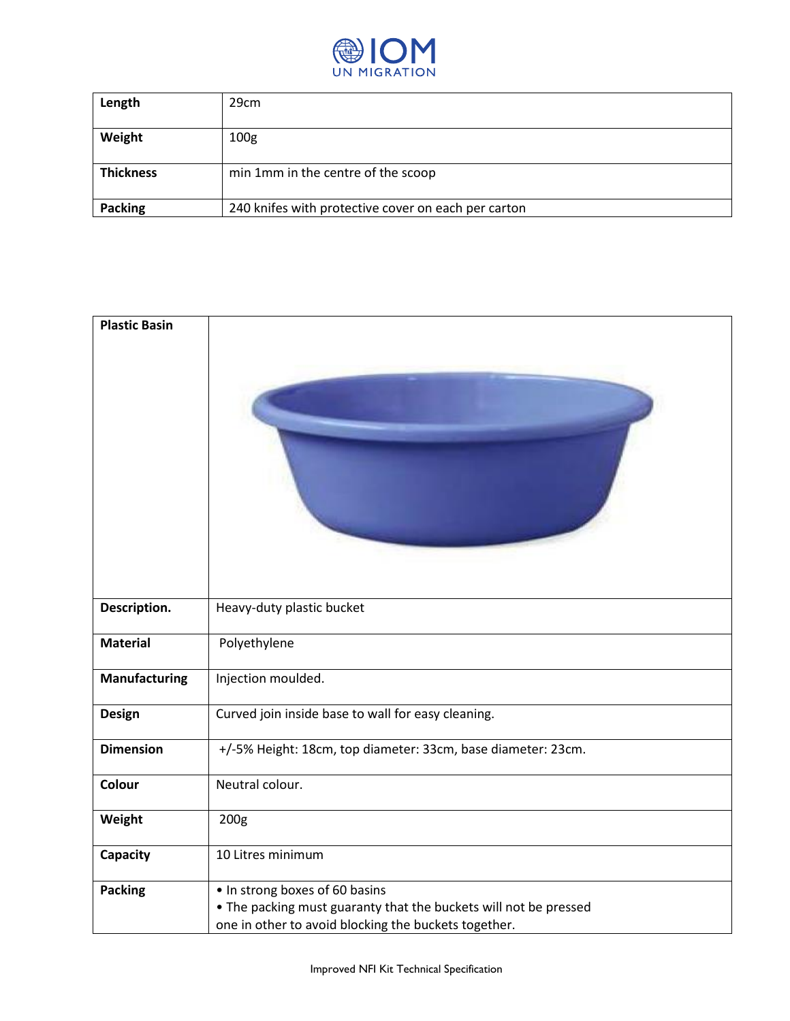

| Length           | 29cm                                                |
|------------------|-----------------------------------------------------|
| Weight           | 100 <sub>g</sub>                                    |
| <b>Thickness</b> | min 1mm in the centre of the scoop                  |
| <b>Packing</b>   | 240 knifes with protective cover on each per carton |

| <b>Plastic Basin</b> |                                                                                                                                                            |
|----------------------|------------------------------------------------------------------------------------------------------------------------------------------------------------|
| Description.         | Heavy-duty plastic bucket                                                                                                                                  |
| <b>Material</b>      | Polyethylene                                                                                                                                               |
| Manufacturing        | Injection moulded.                                                                                                                                         |
| <b>Design</b>        | Curved join inside base to wall for easy cleaning.                                                                                                         |
| <b>Dimension</b>     | +/-5% Height: 18cm, top diameter: 33cm, base diameter: 23cm.                                                                                               |
| Colour               | Neutral colour.                                                                                                                                            |
| Weight               | 200g                                                                                                                                                       |
| <b>Capacity</b>      | 10 Litres minimum                                                                                                                                          |
| <b>Packing</b>       | . In strong boxes of 60 basins<br>. The packing must guaranty that the buckets will not be pressed<br>one in other to avoid blocking the buckets together. |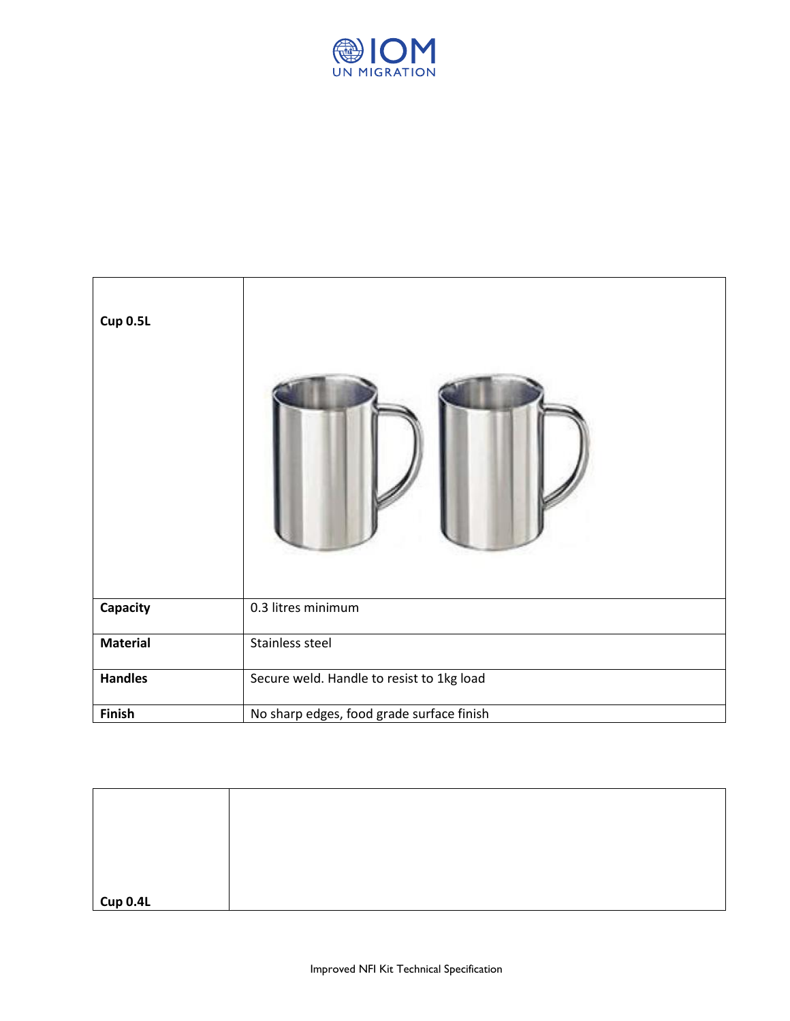

| Cup 0.5L        |                                           |
|-----------------|-------------------------------------------|
| Capacity        | 0.3 litres minimum                        |
| <b>Material</b> | Stainless steel                           |
| <b>Handles</b>  | Secure weld. Handle to resist to 1kg load |
| Finish          | No sharp edges, food grade surface finish |

| Cup 0.4L |  |
|----------|--|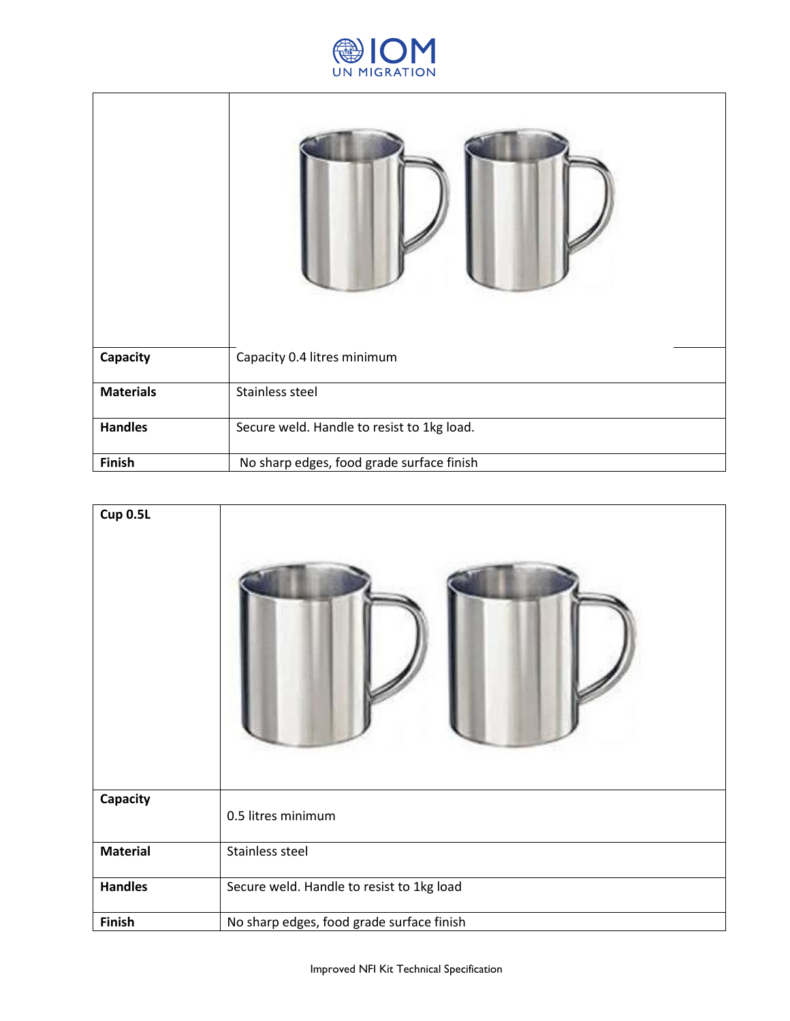

| Capacity         | Capacity 0.4 litres minimum                |
|------------------|--------------------------------------------|
| <b>Materials</b> | Stainless steel                            |
| <b>Handles</b>   | Secure weld. Handle to resist to 1kg load. |
| Finish           | No sharp edges, food grade surface finish  |

| <b>Cup 0.5L</b> |                                           |
|-----------------|-------------------------------------------|
| Capacity        | 0.5 litres minimum                        |
| <b>Material</b> | Stainless steel                           |
| <b>Handles</b>  | Secure weld. Handle to resist to 1kg load |
| Finish          | No sharp edges, food grade surface finish |